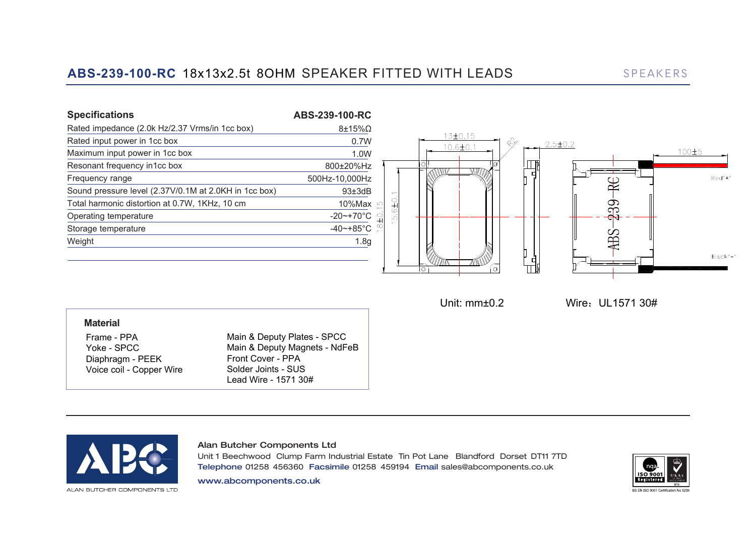| <b>Specifications</b>                                 | ABS-239-100-RC                     |                                                |
|-------------------------------------------------------|------------------------------------|------------------------------------------------|
| Rated impedance (2.0k Hz/2.37 Vrms/in 1cc box)        | $8\pm15\%\Omega$                   |                                                |
| Rated input power in 1cc box                          | 0.7W                               | 13±0.15<br>$\curvearrowright$<br>$2.5 \pm 0.2$ |
| Maximum input power in 1cc box                        | 1.0W                               | $10.6 \pm 0.1$<br>$100 + 5$                    |
| Resonant frequency in1cc box                          | 800±20%Hz                          | WWN<br>⋘                                       |
| Frequency range                                       | 500Hz-10,000Hz                     | $Red^*$ +"                                     |
| Sound pressure level (2.37V/0.1M at 2.0KH in 1cc box) | $93\pm3$ d $B$                     |                                                |
| Total harmonic distortion at 0.7W, 1KHz, 10 cm        |                                    | σ.                                             |
| Operating temperature                                 | -20~+70 $^{\circ}$ C               | ਰਚ                                             |
| Storage temperature                                   | -40~+85°C $\stackrel{\circ}{\sim}$ | $\sigma$                                       |
| Weight                                                | 1.8 <sub>g</sub>                   |                                                |
|                                                       |                                    | $Black''='$<br><b><i>UII</i>IN</b><br>MNW      |

Unit: mm±0.2 Wire:UL1571 30#

**Material**

Frame - PPA Yoke - SPCC Diaphragm - PEEK Voice coil - Copper Wire Main & Deputy Plates - SPCC Main & Deputy Magnets - NdFeB Front Cover - PPA Solder Joints - SUS Lead Wire - 1571 30#



Alan Butcher Components Ltd Unit 1 Beechwood Clump Farm Industrial Estate Tin Pot Lane Blandford Dorset DT11 7TD Telephone 01258 456360 Facsimile 01258 459194 Email sales@abcomponents.co.uk www.abcomponents.co.uk

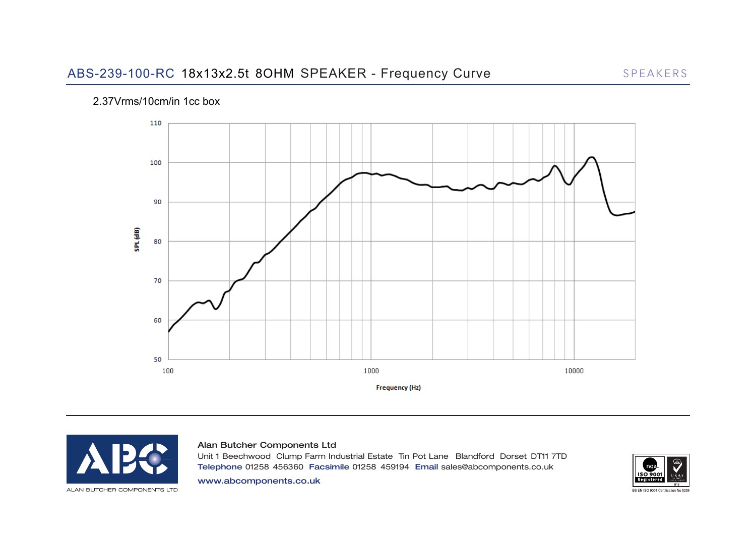## 2.37Vrms/10cm/in 1cc box





Alan Butcher Components Ltd Unit 1 Beechwood Clump Farm Industrial Estate Tin Pot Lane Blandford Dorset DT11 7TD Telephone 01258 456360 Facsimile 01258 459194 Email sales@abcomponents.co.uk www.abcomponents.co.uk



ALAN BUTCHER COMPONENTS LTD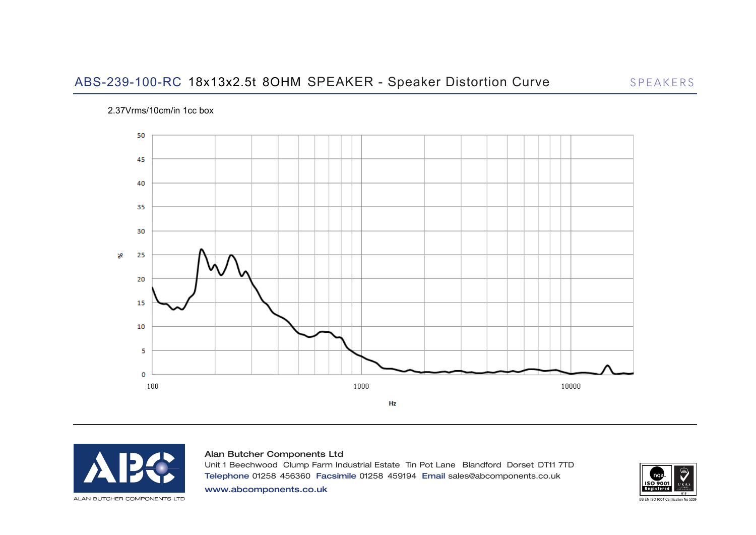## 2.37Vrms/10cm/in 1cc box





## Alan Butcher Components Ltd

Unit 1 Beechwood Clump Farm Industrial Estate Tin Pot Lane Blandford Dorset DT11 7TD Telephone 01258 456360 Facsimile 01258 459194 Email sales@abcomponents.co.uk

www.abcomponents.co.uk